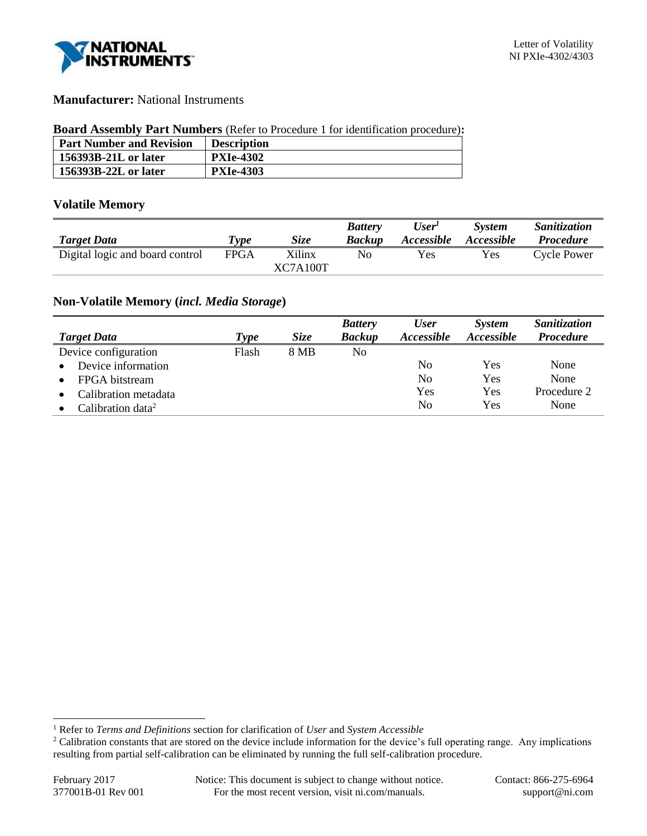

### **Manufacturer:** National Instruments

#### **Board Assembly Part Numbers** (Refer to Procedure 1 for identification procedure)**:**

| <b>Part Number and Revision</b> | <b>Description</b> |
|---------------------------------|--------------------|
| 156393B-21L or later            | <b>PXIe-4302</b>   |
| 156393B-22L or later            | <b>PXIe-4303</b>   |

### **Volatile Memory**

|                                 |             |             | <b>Battery</b> | User'             | <b>System</b> | <i>Sanitization</i> |
|---------------------------------|-------------|-------------|----------------|-------------------|---------------|---------------------|
| <b>Target Data</b>              | Type        | <b>Size</b> | <b>Backup</b>  | <i>Accessible</i> | Accessible    | <i>Procedure</i>    |
| Digital logic and board control | <b>FPGA</b> | Xilinx      | No             | Yes               | <b>Yes</b>    | <b>Cycle Power</b>  |
|                                 |             | XC7A100T    |                |                   |               |                     |

## **Non-Volatile Memory (***incl. Media Storage***)**

|                               |             |             | <b>Battery</b> | <b>User</b>       | <b>System</b> | Sanitization     |
|-------------------------------|-------------|-------------|----------------|-------------------|---------------|------------------|
| <b>Target Data</b>            | <b>Type</b> | <b>Size</b> | <b>Backup</b>  | <b>Accessible</b> | Accessible    | <b>Procedure</b> |
| Device configuration          | Flash       | 8 MB        | No             |                   |               |                  |
| Device information            |             |             |                | No                | Yes           | None             |
| FPGA bitstream                |             |             |                | No                | Yes           | None             |
| Calibration metadata          |             |             |                | Yes               | Yes           | Procedure 2      |
| Calibration data <sup>2</sup> |             |             |                | No                | Yes           | None             |

l

<sup>1</sup> Refer to *Terms and Definitions* section for clarification of *User* and *System Accessible*

<sup>&</sup>lt;sup>2</sup> Calibration constants that are stored on the device include information for the device's full operating range. Any implications resulting from partial self-calibration can be eliminated by running the full self-calibration procedure.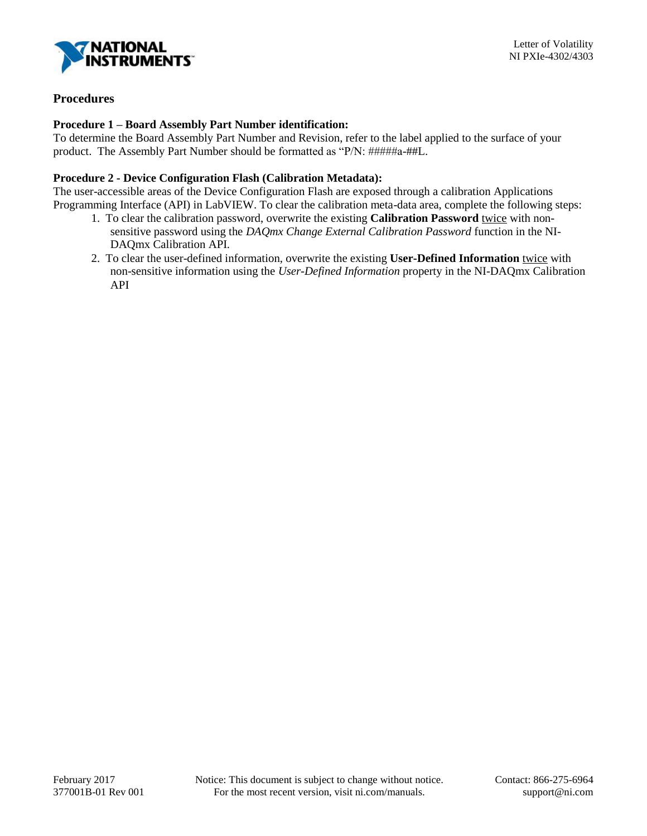

# **Procedures**

### **Procedure 1 – Board Assembly Part Number identification:**

To determine the Board Assembly Part Number and Revision, refer to the label applied to the surface of your product. The Assembly Part Number should be formatted as "P/N: #####a-##L.

#### **Procedure 2 - Device Configuration Flash (Calibration Metadata):**

The user-accessible areas of the Device Configuration Flash are exposed through a calibration Applications Programming Interface (API) in LabVIEW. To clear the calibration meta-data area, complete the following steps:

- 1. To clear the calibration password, overwrite the existing **Calibration Password** twice with nonsensitive password using the *DAQmx Change External Calibration Password* function in the NI-DAQmx Calibration API.
- 2. To clear the user-defined information, overwrite the existing **User-Defined Information** twice with non-sensitive information using the *User-Defined Information* property in the NI-DAQmx Calibration API